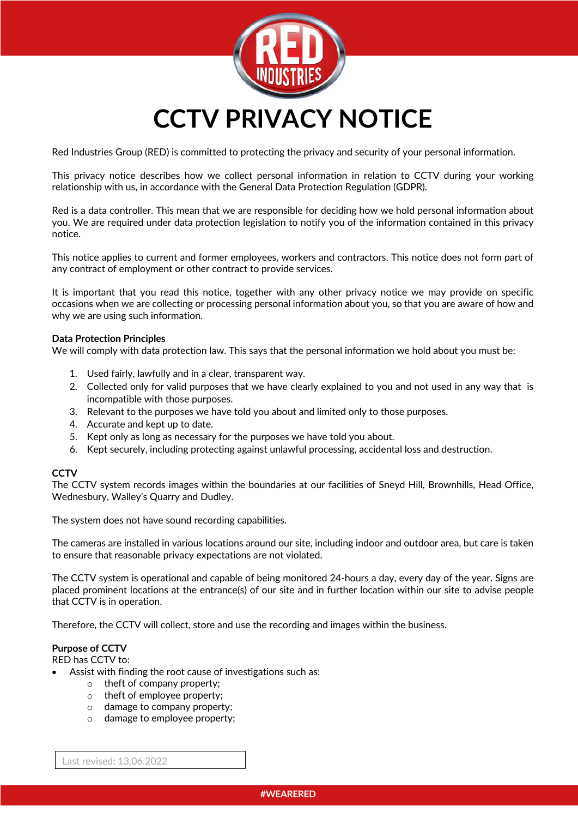

Red Industries Group (RED) is committed to protecting the privacy and security of your personal information.

This privacy notice describes how we collect personal information in relation to CCTV during your working relationship with us, in accordance with the General Data Protection Regulation (GDPR).

Red is a data controller. This mean that we are responsible for deciding how we hold personal information about you. We are required under data protection legislation to notify you of the information contained in this privacy notice.

This notice applies to current and former employees, workers and contractors. This notice does not form part of any contract of employment or other contract to provide services.

It is important that you read this notice, together with any other privacy notice we may provide on specific occasions when we are collecting or processing personal information about you, so that you are aware of how and why we are using such information.

### **Data Protection Principles**

We will comply with data protection law. This says that the personal information we hold about you must be:

- 1. Used fairly, lawfully and in a clear, transparent way.
- 2. Collected only for valid purposes that we have clearly explained to you and not used in any way that is incompatible with those purposes.
- 3. Relevant to the purposes we have told you about and limited only to those purposes.
- 4. Accurate and kept up to date.
- 5. Kept only as long as necessary for the purposes we have told you about.
- 6. Kept securely, including protecting against unlawful processing, accidental loss and destruction.

## **CCTV**

The CCTV system records images within the boundaries at our facilities of Sneyd Hill, Brownhills, Head Office, Wednesbury, Walley's Quarry and Dudley.

The system does not have sound recording capabilities.

The cameras are installed in various locations around our site, including indoor and outdoor area, but care is taken to ensure that reasonable privacy expectations are not violated.

The CCTV system is operational and capable of being monitored 24-hours a day, every day of the year. Signs are placed prominent locations at the entrance(s) of our site and in further location within our site to advise people that CCTV is in operation.

Therefore, the CCTV will collect, store and use the recording and images within the business.

# **Purpose of CCTV**

RED has CCTV to:

- Assist with finding the root cause of investigations such as:
	- o theft of company property;
	- o theft of employee property;
	- o damage to company property;
	- o damage to employee property;

Last revised: 13.06.2022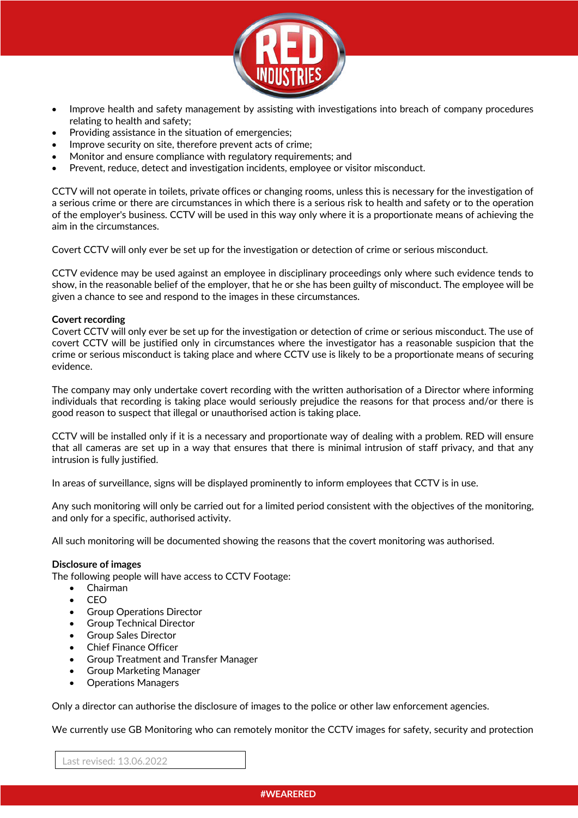

- Improve health and safety management by assisting with investigations into breach of company procedures relating to health and safety;
- Providing assistance in the situation of emergencies;
- Improve security on site, therefore prevent acts of crime;
- Monitor and ensure compliance with regulatory requirements; and
- Prevent, reduce, detect and investigation incidents, employee or visitor misconduct.

CCTV will not operate in toilets, private offices or changing rooms, unless this is necessary for the investigation of a serious crime or there are circumstances in which there is a serious risk to health and safety or to the operation of the employer's business. CCTV will be used in this way only where it is a proportionate means of achieving the aim in the circumstances.

Covert CCTV will only ever be set up for the investigation or detection of crime or serious misconduct.

CCTV evidence may be used against an employee in disciplinary proceedings only where such evidence tends to show, in the reasonable belief of the employer, that he or she has been guilty of misconduct. The employee will be given a chance to see and respond to the images in these circumstances.

## **Covert recording**

Covert CCTV will only ever be set up for the investigation or detection of crime or serious misconduct. The use of covert CCTV will be justified only in circumstances where the investigator has a reasonable suspicion that the crime or serious misconduct is taking place and where CCTV use is likely to be a proportionate means of securing evidence.

The company may only undertake covert recording with the written authorisation of a Director where informing individuals that recording is taking place would seriously prejudice the reasons for that process and/or there is good reason to suspect that illegal or unauthorised action is taking place.

CCTV will be installed only if it is a necessary and proportionate way of dealing with a problem. RED will ensure that all cameras are set up in a way that ensures that there is minimal intrusion of staff privacy, and that any intrusion is fully justified.

In areas of surveillance, signs will be displayed prominently to inform employees that CCTV is in use.

Any such monitoring will only be carried out for a limited period consistent with the objectives of the monitoring, and only for a specific, authorised activity.

All such monitoring will be documented showing the reasons that the covert monitoring was authorised.

### **Disclosure of images**

The following people will have access to CCTV Footage:

- Chairman
- CEO
- Group Operations Director
- Group Technical Director
- Group Sales Director
- Chief Finance Officer
- Group Treatment and Transfer Manager
- Group Marketing Manager
- Operations Managers

Only a director can authorise the disclosure of images to the police or other law enforcement agencies.

We currently use GB Monitoring who can remotely monitor the CCTV images for safety, security and protection

Last revised: 13.06.2022